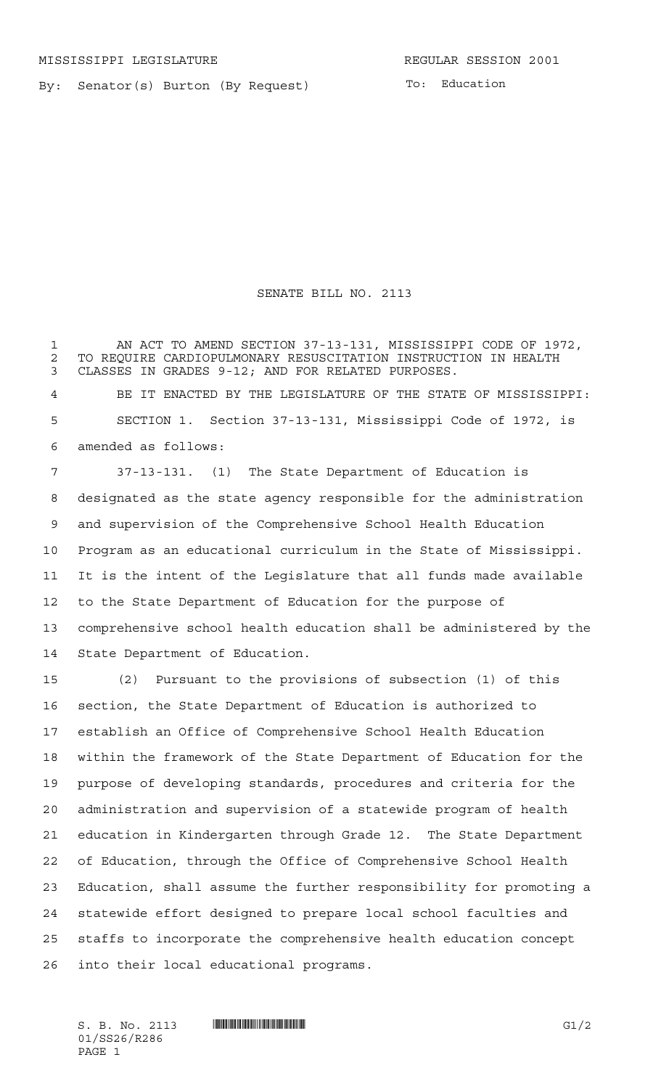By: Senator(s) Burton (By Request)

## SENATE BILL NO. 2113

1 AN ACT TO AMEND SECTION 37-13-131, MISSISSIPPI CODE OF 1972, 2 TO REQUIRE CARDIOPULMONARY RESUSCITATION INSTRUCTION IN HEALTH<br>3 CLASSES IN GRADES 9-12: AND FOR RELATED PURPOSES. CLASSES IN GRADES 9-12; AND FOR RELATED PURPOSES.

 BE IT ENACTED BY THE LEGISLATURE OF THE STATE OF MISSISSIPPI: SECTION 1. Section 37-13-131, Mississippi Code of 1972, is amended as follows:

 37-13-131. (1) The State Department of Education is designated as the state agency responsible for the administration and supervision of the Comprehensive School Health Education Program as an educational curriculum in the State of Mississippi. It is the intent of the Legislature that all funds made available to the State Department of Education for the purpose of comprehensive school health education shall be administered by the State Department of Education.

 (2) Pursuant to the provisions of subsection (1) of this section, the State Department of Education is authorized to establish an Office of Comprehensive School Health Education within the framework of the State Department of Education for the purpose of developing standards, procedures and criteria for the administration and supervision of a statewide program of health education in Kindergarten through Grade 12. The State Department of Education, through the Office of Comprehensive School Health Education, shall assume the further responsibility for promoting a statewide effort designed to prepare local school faculties and staffs to incorporate the comprehensive health education concept into their local educational programs.

01/SS26/R286 PAGE 1

S. B. No. 2113 \*SS26/R286\* G1/2